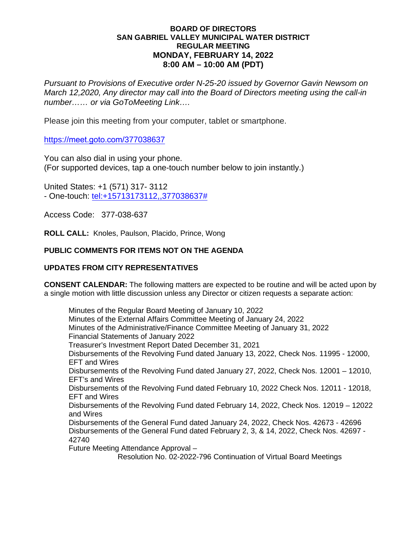## **BOARD OF DIRECTORS SAN GABRIEL VALLEY MUNICIPAL WATER DISTRICT REGULAR MEETING MONDAY, FEBRUARY 14, 2022 8:00 AM – 10:00 AM (PDT)**

*Pursuant to Provisions of Executive order N-25-20 issued by Governor Gavin Newsom on March 12,2020, Any director may call into the Board of Directors meeting using the call-in number…… or via GoToMeeting Link….*

Please join this meeting from your computer, tablet or smartphone.

https://[meet.goto.com](https://global.gotomeeting.com/join/)/377038637

You can also dial in using your phone. (For supported devices, tap a one-touch number below to join instantly.)

United States: +1 (571) 317- 3112 - One-touch: [tel:+15713173112,,377038637#](tel:+15713173112,,377038637)

Access Code: 377-038-637

**ROLL CALL:** Knoles, Paulson, Placido, Prince, Wong

# **PUBLIC COMMENTS FOR ITEMS NOT ON THE AGENDA**

## **UPDATES FROM CITY REPRESENTATIVES**

**CONSENT CALENDAR:** The following matters are expected to be routine and will be acted upon by a single motion with little discussion unless any Director or citizen requests a separate action:

Minutes of the Regular Board Meeting of January 10, 2022 Minutes of the External Affairs Committee Meeting of January 24, 2022 Minutes of the Administrative/Finance Committee Meeting of January 31, 2022 Financial Statements of January 2022 Treasurer's Investment Report Dated December 31, 2021 Disbursements of the Revolving Fund dated January 13, 2022, Check Nos. 11995 - 12000, EFT and Wires Disbursements of the Revolving Fund dated January 27, 2022, Check Nos. 12001 – 12010, EFT's and Wires Disbursements of the Revolving Fund dated February 10, 2022 Check Nos. 12011 - 12018, EFT and Wires Disbursements of the Revolving Fund dated February 14, 2022, Check Nos. 12019 – 12022 and Wires Disbursements of the General Fund dated January 24, 2022, Check Nos. 42673 - 42696 Disbursements of the General Fund dated February 2, 3, & 14, 2022, Check Nos. 42697 - 42740 Future Meeting Attendance Approval – Resolution No. 02-2022-796 Continuation of Virtual Board Meetings